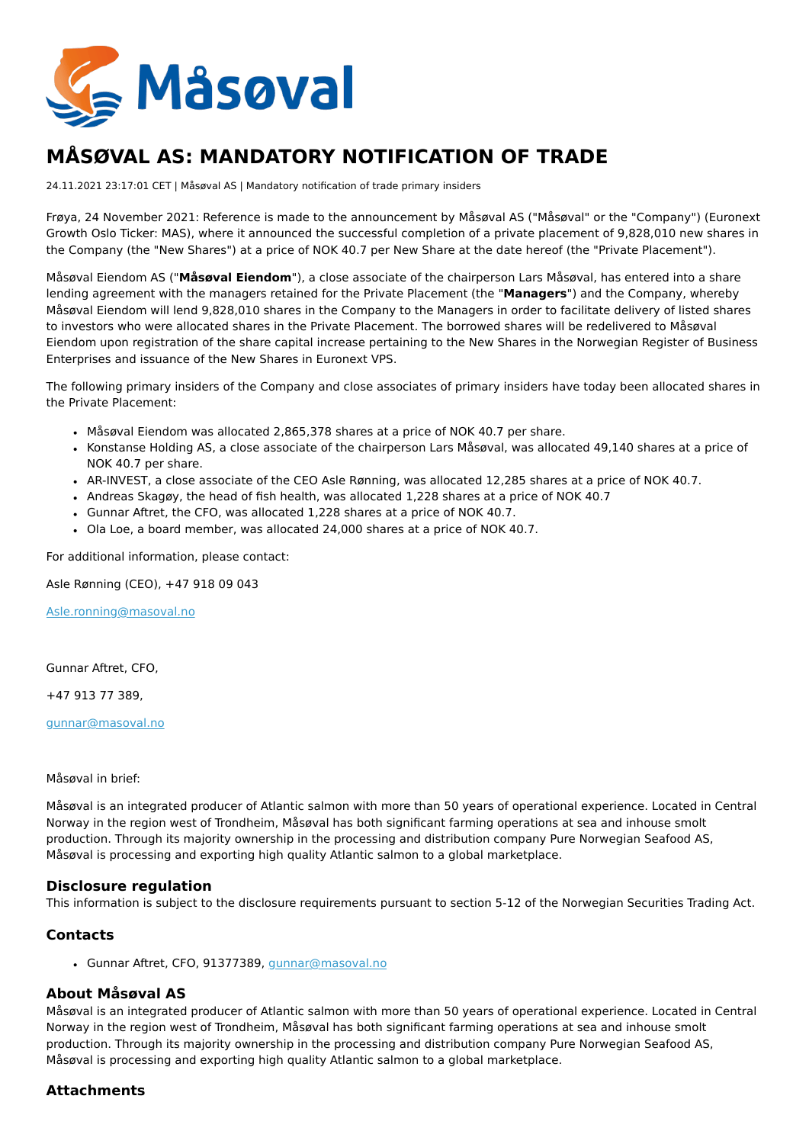

# **MÅSØVAL AS: MANDATORY NOTIFICATION OF TRADE**

24.11.2021 23:17:01 CET | Måsøval AS | Mandatory notification of trade primary insiders

Frøya, 24 November 2021: Reference is made to the announcement by Måsøval AS ("Måsøval" or the "Company") (Euronext Growth Oslo Ticker: MAS), where it announced the successful completion of a private placement of 9,828,010 new shares in the Company (the "New Shares") at a price of NOK 40.7 per New Share at the date hereof (the "Private Placement").

Måsøval Eiendom AS ("**Måsøval Eiendom**"), a close associate of the chairperson Lars Måsøval, has entered into a share lending agreement with the managers retained for the Private Placement (the "**Managers**") and the Company, whereby Måsøval Eiendom will lend 9,828,010 shares in the Company to the Managers in order to facilitate delivery of listed shares to investors who were allocated shares in the Private Placement. The borrowed shares will be redelivered to Måsøval Eiendom upon registration of the share capital increase pertaining to the New Shares in the Norwegian Register of Business Enterprises and issuance of the New Shares in Euronext VPS.

The following primary insiders of the Company and close associates of primary insiders have today been allocated shares in the Private Placement:

- Måsøval Eiendom was allocated 2,865,378 shares at a price of NOK 40.7 per share.
- Konstanse Holding AS, a close associate of the chairperson Lars Måsøval, was allocated 49,140 shares at a price of NOK 40.7 per share.
- AR-INVEST, a close associate of the CEO Asle Rønning, was allocated 12,285 shares at a price of NOK 40.7.
- Andreas Skagøy, the head of fish health, was allocated 1,228 shares at a price of NOK 40.7
- Gunnar Aftret, the CFO, was allocated 1,228 shares at a price of NOK 40.7.
- Ola Loe, a board member, was allocated 24,000 shares at a price of NOK 40.7.

For additional information, please contact:

Asle Rønning (CEO), +47 918 09 043

[Asle.ronning@masoval.no](mailto:Asle.ronning@masoval.no)

Gunnar Aftret, CFO,

+47 913 77 389,

[gunnar@masoval.no](mailto:gunnar@masoval.no)

Måsøval in brief:

Måsøval is an integrated producer of Atlantic salmon with more than 50 years of operational experience. Located in Central Norway in the region west of Trondheim, Måsøval has both significant farming operations at sea and inhouse smolt production. Through its majority ownership in the processing and distribution company Pure Norwegian Seafood AS, Måsøval is processing and exporting high quality Atlantic salmon to a global marketplace.

### **Disclosure regulation**

This information is subject to the disclosure requirements pursuant to section 5-12 of the Norwegian Securities Trading Act.

### **Contacts**

Gunnar Aftret, CFO, 91377389, [gunnar@masoval.no](mailto:gunnar@masoval.no)

# **About Måsøval AS**

Måsøval is an integrated producer of Atlantic salmon with more than 50 years of operational experience. Located in Central Norway in the region west of Trondheim, Måsøval has both significant farming operations at sea and inhouse smolt production. Through its majority ownership in the processing and distribution company Pure Norwegian Seafood AS, Måsøval is processing and exporting high quality Atlantic salmon to a global marketplace.

# **Attachments**